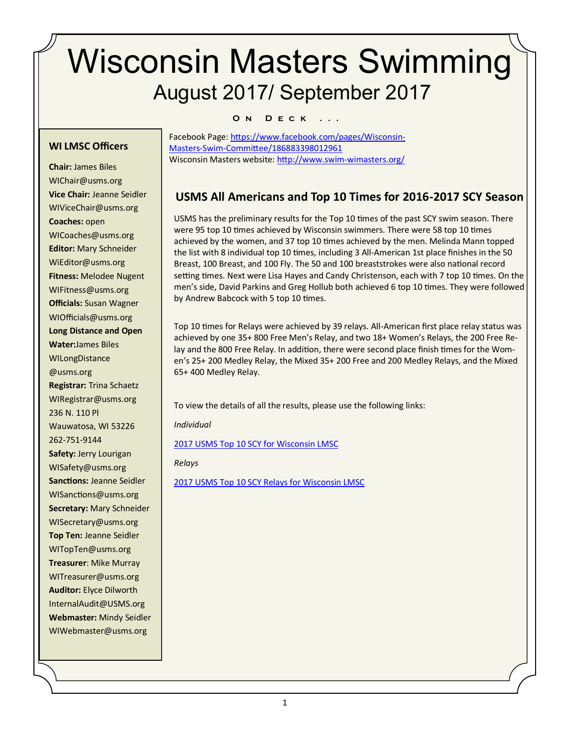# Wisconsin Masters Swimming August 2017/ September 2017

#### **O n D e c k . . .**

#### **WI LMSC Officers**

**Chair:** James Biles WIChair@usms.org **Vice Chair:** Jeanne Seidler WIViceChair@usms.org **Coaches:** open WICoaches@usms.org **Editor:** Mary Schneider WiEditor@usms.org **Fitness:** Melodee Nugent WIFitness@usms.org **Officials:** Susan Wagner WIOfficials@usms.org **Long Distance and Open Water:**James Biles WILongDistance @usms.org **Registrar:** Trina Schaetz WIRegistrar@usms.org 236 N. 110 Pl Wauwatosa, WI 53226 262-751-9144 **Safety:** Jerry Lourigan WISafety@usms.org **Sanctions:** Jeanne Seidler WISanctions@usms.org **Secretary:** Mary Schneider WISecretary@usms.org **Top Ten:** Jeanne Seidler WITopTen@usms.org **Treasurer**: Mike Murray WITreasurer@usms.org **Auditor:** Elyce Dilworth [InternalAudit@USMS.org](mailto:InternalAudit@USMS.org) **Webmaster:** Mindy Seidler WIWebmaster@usms.org

Facebook Page: [https://www.facebook.com/pages/Wisconsin](https://www.facebook.com/pages/Wisconsin-Masters-Swim-Committee/186883398012961)-Masters-Swim-[Committee/186883398012961](https://www.facebook.com/pages/Wisconsin-Masters-Swim-Committee/186883398012961)  Wisconsin Masters website: [http://www.swim](http://www.swim-wimasters.org/)-wimasters.org/

## **USMS All Americans and Top 10 Times for 2016-2017 SCY Season**

USMS has the preliminary results for the Top 10 times of the past SCY swim season. There were 95 top 10 times achieved by Wisconsin swimmers. There were 58 top 10 times achieved by the women, and 37 top 10 times achieved by the men. Melinda Mann topped the list with 8 individual top 10 times, including 3 All-American 1st place finishes in the 50 Breast, 100 Breast, and 100 Fly. The 50 and 100 breaststrokes were also national record setting times. Next were Lisa Hayes and Candy Christenson, each with 7 top 10 times. On the men's side, David Parkins and Greg Hollub both achieved 6 top 10 times. They were followed by Andrew Babcock with 5 top 10 times.

Top 10 times for Relays were achieved by 39 relays. All-American first place relay status was achieved by one 35+ 800 Free Men's Relay, and two 18+ Women's Relays, the 200 Free Relay and the 800 Free Relay. In addition, there were second place finish times for the Women's 25+ 200 Medley Relay, the Mixed 35+ 200 Free and 200 Medley Relays, and the Mixed 65+ 400 Medley Relay.

To view the details of all the results, please use the following links:

*Individual*

[2017 USMS Top 10 SCY for Wisconsin LMSC](http://www.usms.org/comp/tt/toptenlmsc.php?Year=2017&CourseID=1&ZoneID=&LMSCID=20&ClubAbbr=)

*Relays* 

[2017 USMS Top 10 SCY Relays for Wisconsin LMSC](http://www.usms.org/comp/tt/toptenrelaylmsc.php?Year=2017&CourseID=1&ZoneID=&LMSCID=20&ClubAbbr=)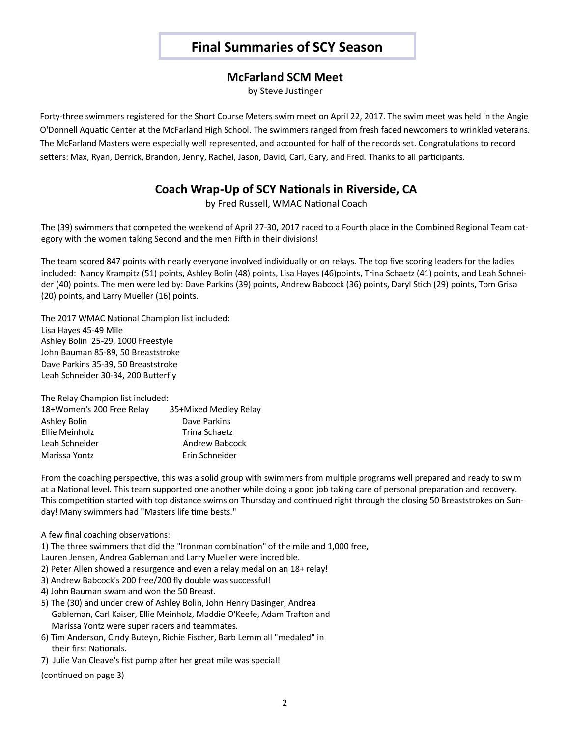# **Final Summaries of SCY Season**

### **McFarland SCM Meet**

by Steve Justinger

Forty-three swimmers registered for the Short Course Meters swim meet on April 22, 2017. The swim meet was held in the Angie O'Donnell Aquatic Center at the McFarland High School. The swimmers ranged from fresh faced newcomers to wrinkled veterans. The McFarland Masters were especially well represented, and accounted for half of the records set. Congratulations to record setters: Max, Ryan, Derrick, Brandon, Jenny, Rachel, Jason, David, Carl, Gary, and Fred. Thanks to all participants.

## **Coach Wrap-Up of SCY Nationals in Riverside, CA**

by Fred Russell, WMAC National Coach

The (39) swimmers that competed the weekend of April 27-30, 2017 raced to a Fourth place in the Combined Regional Team category with the women taking Second and the men Fifth in their divisions!

The team scored 847 points with nearly everyone involved individually or on relays. The top five scoring leaders for the ladies included: Nancy Krampitz (51) points, Ashley Bolin (48) points, Lisa Hayes (46)points, Trina Schaetz (41) points, and Leah Schneider (40) points. The men were led by: Dave Parkins (39) points, Andrew Babcock (36) points, Daryl Stich (29) points, Tom Grisa (20) points, and Larry Mueller (16) points.

The 2017 WMAC National Champion list included: Lisa Hayes 45-49 Mile Ashley Bolin 25-29, 1000 Freestyle John Bauman 85-89, 50 Breaststroke Dave Parkins 35-39, 50 Breaststroke Leah Schneider 30-34, 200 Butterfly

The Relay Champion list included:

| 18+Women's 200 Free Relay | 35+Mixed Medley Relay |
|---------------------------|-----------------------|
| Ashley Bolin              | Dave Parkins          |
| Ellie Meinholz            | Trina Schaetz         |
| Leah Schneider            | Andrew Babcock        |
| Marissa Yontz             | Erin Schneider        |
|                           |                       |

From the coaching perspective, this was a solid group with swimmers from multiple programs well prepared and ready to swim at a National level. This team supported one another while doing a good job taking care of personal preparation and recovery. This competition started with top distance swims on Thursday and continued right through the closing 50 Breaststrokes on Sunday! Many swimmers had "Masters life time bests."

A few final coaching observations:

1) The three swimmers that did the "Ironman combination" of the mile and 1,000 free,

Lauren Jensen, Andrea Gableman and Larry Mueller were incredible.

- 2) Peter Allen showed a resurgence and even a relay medal on an 18+ relay!
- 3) Andrew Babcock's 200 free/200 fly double was successful!
- 4) John Bauman swam and won the 50 Breast.
- 5) The (30) and under crew of Ashley Bolin, John Henry Dasinger, Andrea Gableman, Carl Kaiser, Ellie Meinholz, Maddie O'Keefe, Adam Trafton and Marissa Yontz were super racers and teammates.
- 6) Tim Anderson, Cindy Buteyn, Richie Fischer, Barb Lemm all "medaled" in their first Nationals.
- 7) Julie Van Cleave's fist pump after her great mile was special!

(continued on page 3)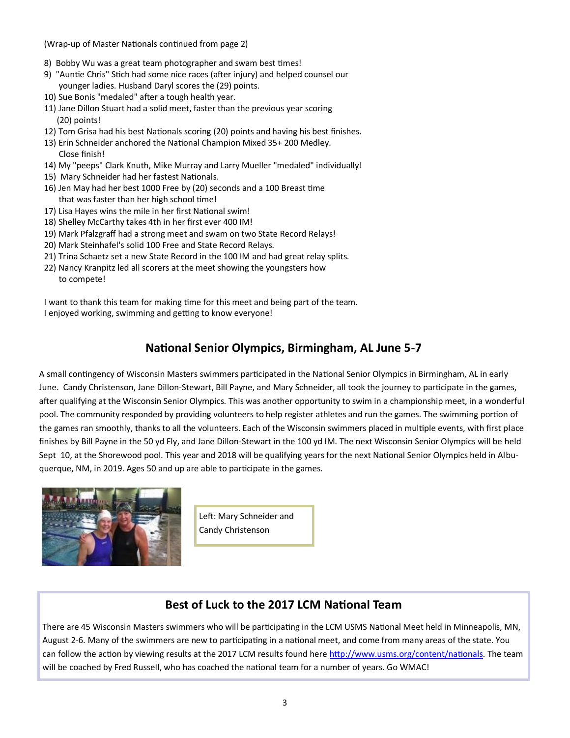(Wrap-up of Master Nationals continued from page 2)

- 8) Bobby Wu was a great team photographer and swam best times!
- 9) "Auntie Chris" Stich had some nice races (after injury) and helped counsel our younger ladies. Husband Daryl scores the (29) points.
- 10) Sue Bonis "medaled" after a tough health year.
- 11) Jane Dillon Stuart had a solid meet, faster than the previous year scoring (20) points!
- 12) Tom Grisa had his best Nationals scoring (20) points and having his best finishes.
- 13) Erin Schneider anchored the National Champion Mixed 35+ 200 Medley. Close finish!
- 14) My "peeps" Clark Knuth, Mike Murray and Larry Mueller "medaled" individually!
- 15) Mary Schneider had her fastest Nationals.
- 16) Jen May had her best 1000 Free by (20) seconds and a 100 Breast time that was faster than her high school time!
- 17) Lisa Hayes wins the mile in her first National swim!
- 18) Shelley McCarthy takes 4th in her first ever 400 IM!
- 19) Mark Pfalzgraff had a strong meet and swam on two State Record Relays!
- 20) Mark Steinhafel's solid 100 Free and State Record Relays.
- 21) Trina Schaetz set a new State Record in the 100 IM and had great relay splits.
- 22) Nancy Kranpitz led all scorers at the meet showing the youngsters how to compete!

I want to thank this team for making time for this meet and being part of the team. I enjoyed working, swimming and getting to know everyone!

## **National Senior Olympics, Birmingham, AL June 5-7**

A small contingency of Wisconsin Masters swimmers participated in the National Senior Olympics in Birmingham, AL in early June. Candy Christenson, Jane Dillon-Stewart, Bill Payne, and Mary Schneider, all took the journey to participate in the games, after qualifying at the Wisconsin Senior Olympics. This was another opportunity to swim in a championship meet, in a wonderful pool. The community responded by providing volunteers to help register athletes and run the games. The swimming portion of the games ran smoothly, thanks to all the volunteers. Each of the Wisconsin swimmers placed in multiple events, with first place finishes by Bill Payne in the 50 yd Fly, and Jane Dillon-Stewart in the 100 yd IM. The next Wisconsin Senior Olympics will be held Sept 10, at the Shorewood pool. This year and 2018 will be qualifying years for the next National Senior Olympics held in Albuquerque, NM, in 2019. Ages 50 and up are able to participate in the games.



Left: Mary Schneider and Candy Christenson

## **Best of Luck to the 2017 LCM National Team**

There are 45 Wisconsin Masters swimmers who will be participating in the LCM USMS National Meet held in Minneapolis, MN, August 2-6. Many of the swimmers are new to participating in a national meet, and come from many areas of the state. You can follow the action by viewing results at the 2017 LCM results found here [http://www.usms.org/content/nationals.](http://www.usms.org/content/nationals) The team will be coached by Fred Russell, who has coached the national team for a number of years. Go WMAC!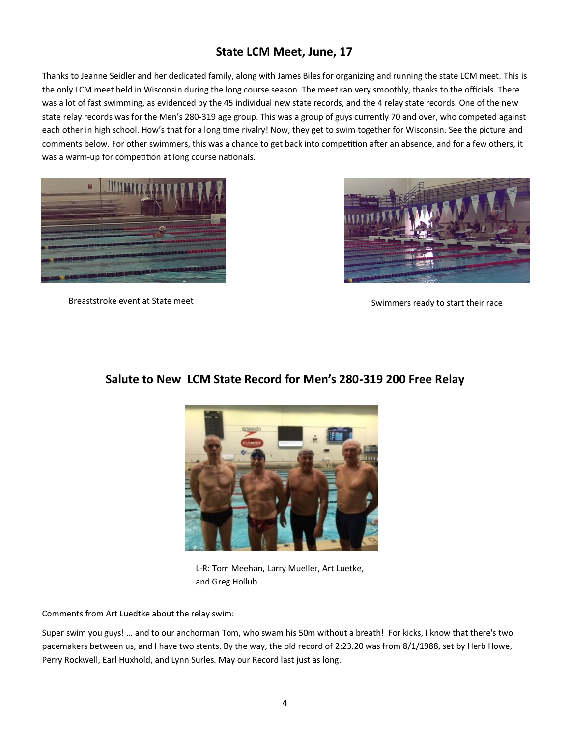## **State LCM Meet, June, 17**

Thanks to Jeanne Seidler and her dedicated family, along with James Biles for organizing and running the state LCM meet. This is the only LCM meet held in Wisconsin during the long course season. The meet ran very smoothly, thanks to the officials. There was a lot of fast swimming, as evidenced by the 45 individual new state records, and the 4 relay state records. One of the new state relay records was for the Men's 280-319 age group. This was a group of guys currently 70 and over, who competed against each other in high school. How's that for a long time rivalry! Now, they get to swim together for Wisconsin. See the picture and comments below. For other swimmers, this was a chance to get back into competition after an absence, and for a few others, it was a warm-up for competition at long course nationals.





Breaststroke event at State meet Swimmers ready to start their race

#### **Salute to New LCM State Record for Men's 280-319 200 Free Relay**



L-R: Tom Meehan, Larry Mueller, Art Luetke, and Greg Hollub

Comments from Art Luedtke about the relay swim:

Super swim you guys! … and to our anchorman Tom, who swam his 50m without a breath! For kicks, I know that there's two pacemakers between us, and I have two stents. By the way, the old record of 2:23.20 was from 8/1/1988, set by Herb Howe, Perry Rockwell, Earl Huxhold, and Lynn Surles. May our Record last just as long.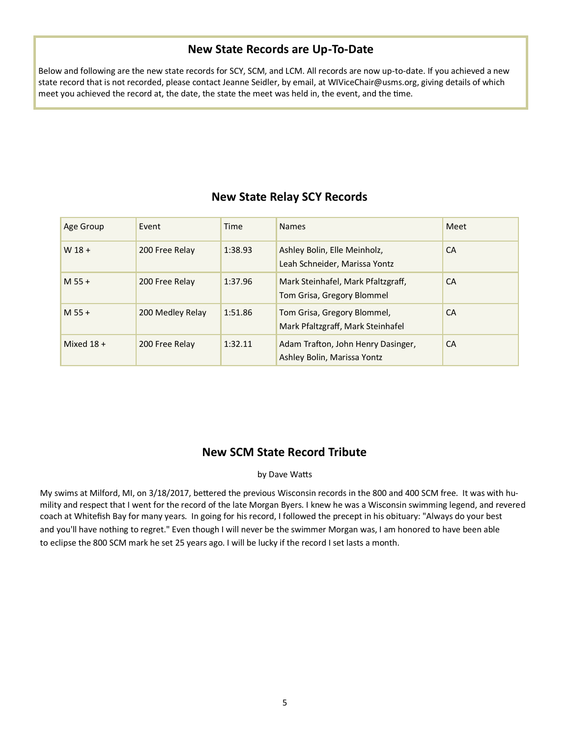## **New State Records are Up-To-Date**

Below and following are the new state records for SCY, SCM, and LCM. All records are now up-to-date. If you achieved a new state record that is not recorded, please contact Jeanne Seidler, by email, at WIViceChair@usms.org, giving details of which meet you achieved the record at, the date, the state the meet was held in, the event, and the time.

| Age Group    | Event            | Time    | <b>Names</b>                                                      | Meet      |
|--------------|------------------|---------|-------------------------------------------------------------------|-----------|
| $W$ 18 +     | 200 Free Relay   | 1:38.93 | Ashley Bolin, Elle Meinholz,<br>Leah Schneider, Marissa Yontz     | <b>CA</b> |
| $M$ 55 +     | 200 Free Relay   | 1:37.96 | Mark Steinhafel, Mark Pfaltzgraff,<br>Tom Grisa, Gregory Blommel  | <b>CA</b> |
| $M$ 55 +     | 200 Medley Relay | 1:51.86 | Tom Grisa, Gregory Blommel,<br>Mark Pfaltzgraff, Mark Steinhafel  | <b>CA</b> |
| Mixed $18 +$ | 200 Free Relay   | 1:32.11 | Adam Trafton, John Henry Dasinger,<br>Ashley Bolin, Marissa Yontz | <b>CA</b> |

## **New State Relay SCY Records**

## **New SCM State Record Tribute**

#### by Dave Watts

My swims at Milford, MI, on 3/18/2017, bettered the previous Wisconsin records in the 800 and 400 SCM free. It was with humility and respect that I went for the record of the late Morgan Byers. I knew he was a Wisconsin swimming legend, and revered coach at Whitefish Bay for many years. In going for his record, I followed the precept in his obituary: "Always do your best and you'll have nothing to regret." Even though I will never be the swimmer Morgan was, I am honored to have been able to eclipse the 800 SCM mark he set 25 years ago. I will be lucky if the record I set lasts a month.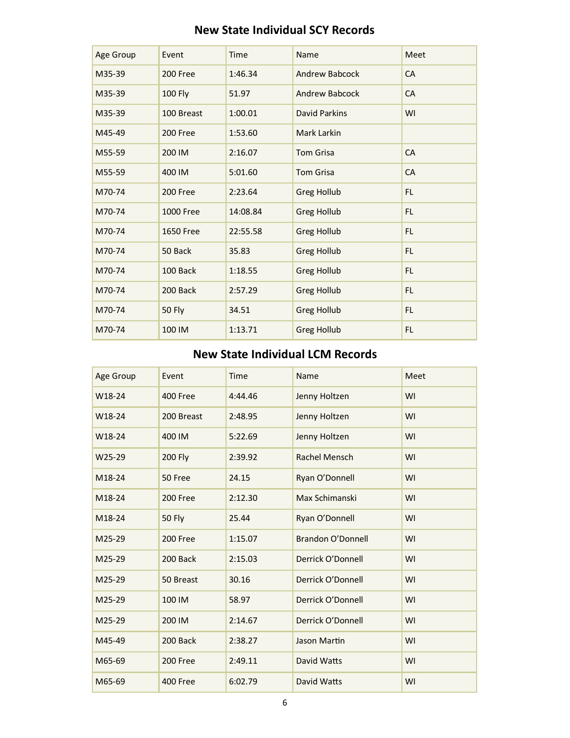| Age Group | Event            | Time     | Name                  | Meet      |
|-----------|------------------|----------|-----------------------|-----------|
| M35-39    | 200 Free         | 1:46.34  | <b>Andrew Babcock</b> | CA        |
| M35-39    | <b>100 Fly</b>   | 51.97    | <b>Andrew Babcock</b> | CA        |
| M35-39    | 100 Breast       | 1:00.01  | <b>David Parkins</b>  | WI        |
| M45-49    | 200 Free         | 1:53.60  | Mark Larkin           |           |
| M55-59    | 200 IM           | 2:16.07  | <b>Tom Grisa</b>      | CA        |
| M55-59    | 400 IM           | 5:01.60  | <b>Tom Grisa</b>      | <b>CA</b> |
| M70-74    | 200 Free         | 2:23.64  | <b>Greg Hollub</b>    | FL.       |
| M70-74    | <b>1000 Free</b> | 14:08.84 | <b>Greg Hollub</b>    | <b>FL</b> |
| M70-74    | <b>1650 Free</b> | 22:55.58 | <b>Greg Hollub</b>    | FL.       |
| M70-74    | 50 Back          | 35.83    | <b>Greg Hollub</b>    | FL.       |
| M70-74    | 100 Back         | 1:18.55  | <b>Greg Hollub</b>    | <b>FL</b> |
| M70-74    | 200 Back         | 2:57.29  | <b>Greg Hollub</b>    | FL.       |
| M70-74    | <b>50 Fly</b>    | 34.51    | <b>Greg Hollub</b>    | FL.       |
| M70-74    | 100 IM           | 1:13.71  | <b>Greg Hollub</b>    | FL.       |

## **New State Individual SCY Records**

## **New State Individual LCM Records**

| Age Group | Event          | <b>Time</b> | Name                     | Meet |
|-----------|----------------|-------------|--------------------------|------|
| W18-24    | 400 Free       | 4:44.46     | Jenny Holtzen            | WI   |
| W18-24    | 200 Breast     | 2:48.95     | Jenny Holtzen            | WI   |
| W18-24    | 400 IM         | 5:22.69     | Jenny Holtzen            | WI   |
| W25-29    | <b>200 Fly</b> | 2:39.92     | Rachel Mensch            | WI   |
| M18-24    | 50 Free        | 24.15       | Ryan O'Donnell           | WI   |
| M18-24    | 200 Free       | 2:12.30     | Max Schimanski           | WI   |
| M18-24    | <b>50 Fly</b>  | 25.44       | Ryan O'Donnell           | WI   |
| M25-29    | 200 Free       | 1:15.07     | <b>Brandon O'Donnell</b> | WI   |
| M25-29    | 200 Back       | 2:15.03     | Derrick O'Donnell        | WI   |
| M25-29    | 50 Breast      | 30.16       | Derrick O'Donnell        | WI   |
| M25-29    | 100 IM         | 58.97       | Derrick O'Donnell        | WI   |
| M25-29    | 200 IM         | 2:14.67     | Derrick O'Donnell        | WI   |
| M45-49    | 200 Back       | 2:38.27     | Jason Martin             | WI   |
| M65-69    | 200 Free       | 2:49.11     | David Watts              | WI   |
| M65-69    | 400 Free       | 6:02.79     | David Watts              | WI   |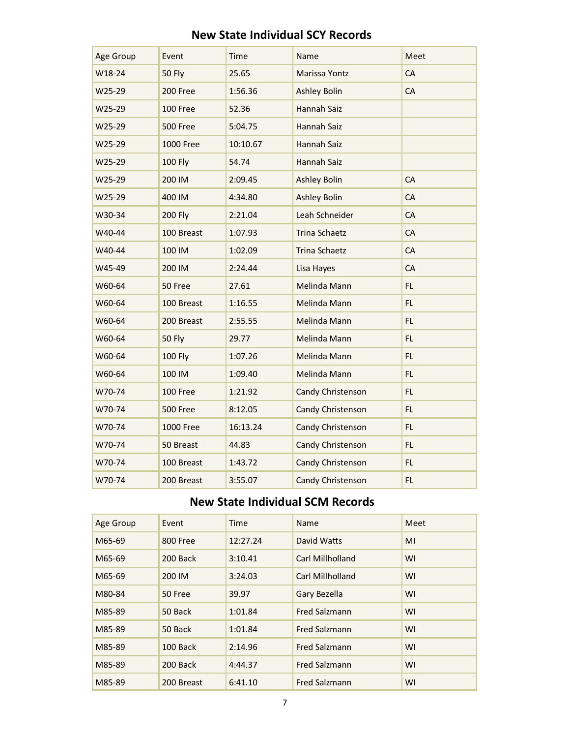|  | <b>New State Individual SCY Records</b> |  |
|--|-----------------------------------------|--|
|  |                                         |  |

| Age Group | Event            | <b>Time</b> | Name                 | Meet |
|-----------|------------------|-------------|----------------------|------|
| W18-24    | <b>50 Fly</b>    | 25.65       | Marissa Yontz        | CA   |
| W25-29    | 200 Free         | 1:56.36     | <b>Ashley Bolin</b>  | CA   |
| W25-29    | 100 Free         | 52.36       | Hannah Saiz          |      |
| W25-29    | 500 Free         | 5:04.75     | Hannah Saiz          |      |
| W25-29    | <b>1000 Free</b> | 10:10.67    | Hannah Saiz          |      |
| W25-29    | <b>100 Fly</b>   | 54.74       | Hannah Saiz          |      |
| W25-29    | 200 IM           | 2:09.45     | <b>Ashley Bolin</b>  | CA   |
| W25-29    | 400 IM           | 4:34.80     | <b>Ashley Bolin</b>  | CA   |
| W30-34    | <b>200 Fly</b>   | 2:21.04     | Leah Schneider       | CA   |
| W40-44    | 100 Breast       | 1:07.93     | <b>Trina Schaetz</b> | CA   |
| W40-44    | 100 IM           | 1:02.09     | <b>Trina Schaetz</b> | CA   |
| W45-49    | 200 IM           | 2:24.44     | Lisa Hayes           | CA   |
| W60-64    | 50 Free          | 27.61       | Melinda Mann         | FL.  |
| W60-64    | 100 Breast       | 1:16.55     | Melinda Mann         | FL.  |
| W60-64    | 200 Breast       | 2:55.55     | Melinda Mann         | FL.  |
| W60-64    | <b>50 Fly</b>    | 29.77       | Melinda Mann         | FL.  |
| W60-64    | <b>100 Fly</b>   | 1:07.26     | Melinda Mann         | FL.  |
| W60-64    | 100 IM           | 1:09.40     | Melinda Mann         | FL   |
| W70-74    | 100 Free         | 1:21.92     | Candy Christenson    | FL.  |
| W70-74    | <b>500 Free</b>  | 8:12.05     | Candy Christenson    | FL.  |
| W70-74    | <b>1000 Free</b> | 16:13.24    | Candy Christenson    | FL.  |
| W70-74    | 50 Breast        | 44.83       | Candy Christenson    | FL.  |
| W70-74    | 100 Breast       | 1:43.72     | Candy Christenson    | FL.  |
| W70-74    | 200 Breast       | 3:55.07     | Candy Christenson    | FL.  |

## **New State Individual SCM Records**

| Age Group | Event      | <b>Time</b> | Name                 | Meet |
|-----------|------------|-------------|----------------------|------|
| M65-69    | 800 Free   | 12:27.24    | David Watts          | MI   |
| M65-69    | 200 Back   | 3:10.41     | Carl Millholland     | WI   |
| M65-69    | 200 IM     | 3:24.03     | Carl Millholland     | WI   |
| M80-84    | 50 Free    | 39.97       | Gary Bezella         | WI   |
| M85-89    | 50 Back    | 1:01.84     | <b>Fred Salzmann</b> | WI   |
| M85-89    | 50 Back    | 1:01.84     | <b>Fred Salzmann</b> | WI   |
| M85-89    | 100 Back   | 2:14.96     | <b>Fred Salzmann</b> | WI   |
| M85-89    | 200 Back   | 4:44.37     | <b>Fred Salzmann</b> | WI   |
| M85-89    | 200 Breast | 6:41.10     | <b>Fred Salzmann</b> | WI   |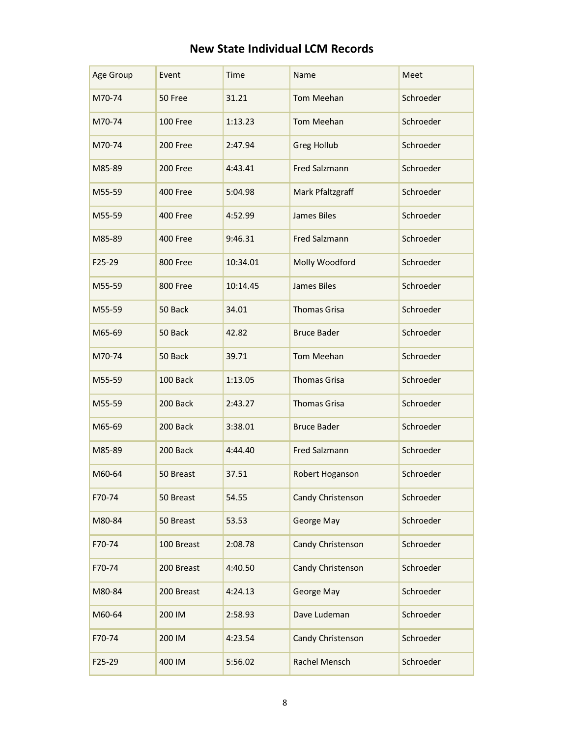## **New State Individual LCM Records**

| Age Group | Event      | Time     | Name                 | Meet      |
|-----------|------------|----------|----------------------|-----------|
| M70-74    | 50 Free    | 31.21    | <b>Tom Meehan</b>    | Schroeder |
| M70-74    | 100 Free   | 1:13.23  | Tom Meehan           | Schroeder |
| M70-74    | 200 Free   | 2:47.94  | <b>Greg Hollub</b>   | Schroeder |
| M85-89    | 200 Free   | 4:43.41  | <b>Fred Salzmann</b> | Schroeder |
| M55-59    | 400 Free   | 5:04.98  | Mark Pfaltzgraff     | Schroeder |
| M55-59    | 400 Free   | 4:52.99  | <b>James Biles</b>   | Schroeder |
| M85-89    | 400 Free   | 9:46.31  | <b>Fred Salzmann</b> | Schroeder |
| F25-29    | 800 Free   | 10:34.01 | Molly Woodford       | Schroeder |
| M55-59    | 800 Free   | 10:14.45 | <b>James Biles</b>   | Schroeder |
| M55-59    | 50 Back    | 34.01    | <b>Thomas Grisa</b>  | Schroeder |
| M65-69    | 50 Back    | 42.82    | <b>Bruce Bader</b>   | Schroeder |
| M70-74    | 50 Back    | 39.71    | Tom Meehan           | Schroeder |
| M55-59    | 100 Back   | 1:13.05  | <b>Thomas Grisa</b>  | Schroeder |
| M55-59    | 200 Back   | 2:43.27  | <b>Thomas Grisa</b>  | Schroeder |
| M65-69    | 200 Back   | 3:38.01  | <b>Bruce Bader</b>   | Schroeder |
| M85-89    | 200 Back   | 4:44.40  | <b>Fred Salzmann</b> | Schroeder |
| M60-64    | 50 Breast  | 37.51    | Robert Hoganson      | Schroeder |
| F70-74    | 50 Breast  | 54.55    | Candy Christenson    | Schroeder |
| M80-84    | 50 Breast  | 53.53    | George May           | Schroeder |
| F70-74    | 100 Breast | 2:08.78  | Candy Christenson    | Schroeder |
| F70-74    | 200 Breast | 4:40.50  | Candy Christenson    | Schroeder |
| M80-84    | 200 Breast | 4:24.13  | George May           | Schroeder |
| M60-64    | 200 IM     | 2:58.93  | Dave Ludeman         | Schroeder |
| F70-74    | 200 IM     | 4:23.54  | Candy Christenson    | Schroeder |
| F25-29    | 400 IM     | 5:56.02  | Rachel Mensch        | Schroeder |